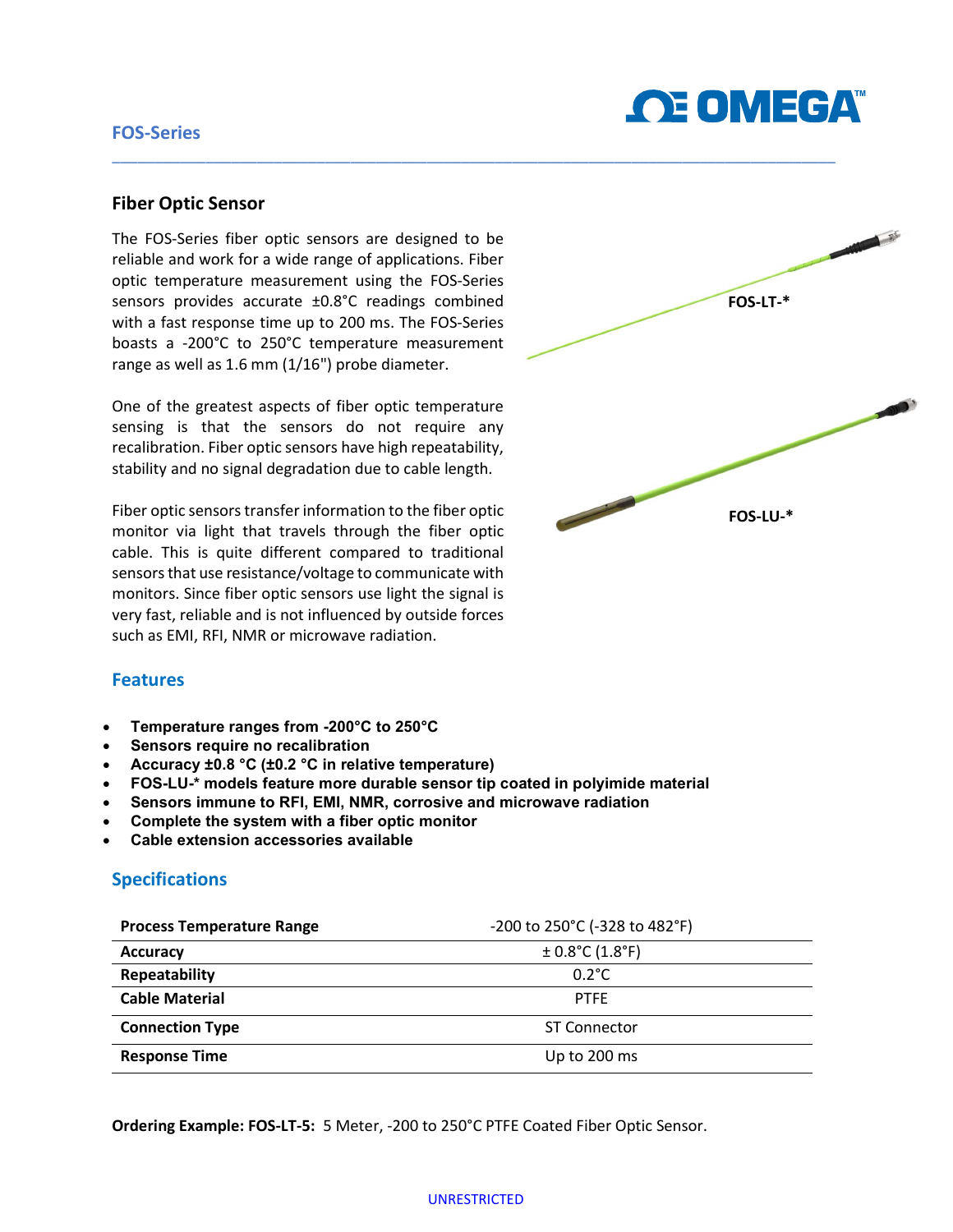# FOS-Series



#### Fiber Optic Sensor

The FOS-Series fiber optic sensors are designed to be reliable and work for a wide range of applications. Fiber optic temperature measurement using the FOS-Series sensors provides accurate ±0.8°C readings combined with a fast response time up to 200 ms. The FOS-Series boasts a -200°C to 250°C temperature measurement range as well as 1.6 mm (1/16") probe diameter.

One of the greatest aspects of fiber optic temperature sensing is that the sensors do not require any recalibration. Fiber optic sensors have high repeatability, stability and no signal degradation due to cable length.

Fiber optic sensors transfer information to the fiber optic monitor via light that travels through the fiber optic cable. This is quite different compared to traditional sensors that use resistance/voltage to communicate with monitors. Since fiber optic sensors use light the signal is very fast, reliable and is not influenced by outside forces such as EMI, RFI, NMR or microwave radiation.



#### **Features**

- Temperature ranges from -200°C to 250°C
- Sensors require no recalibration
- Accuracy ±0.8 °C (±0.2 °C in relative temperature)
- FOS-LU-\* models feature more durable sensor tip coated in polyimide material
- Sensors immune to RFI, EMI, NMR, corrosive and microwave radiation
- Complete the system with a fiber optic monitor
- Cable extension accessories available

# Specifications

| <b>Process Temperature Range</b> | -200 to 250°C (-328 to 482°F) |
|----------------------------------|-------------------------------|
| <b>Accuracy</b>                  | $\pm$ 0.8°C (1.8°F)           |
| Repeatability                    | $0.2^{\circ}$ C               |
| <b>Cable Material</b>            | <b>PTFE</b>                   |
| <b>Connection Type</b>           | <b>ST Connector</b>           |
| <b>Response Time</b>             | Up to 200 ms                  |

\_\_\_\_\_\_\_\_\_\_\_\_\_\_\_\_\_\_\_\_\_\_\_\_\_\_\_\_\_\_\_\_\_\_\_\_\_\_\_\_\_\_\_\_\_\_\_\_\_\_\_\_\_\_\_\_\_\_\_\_\_\_\_\_\_\_\_\_\_\_\_\_\_\_\_\_\_\_\_\_\_\_\_\_\_

Ordering Example: FOS-LT-5: 5 Meter, -200 to 250°C PTFE Coated Fiber Optic Sensor.

#### UNRESTRICTED